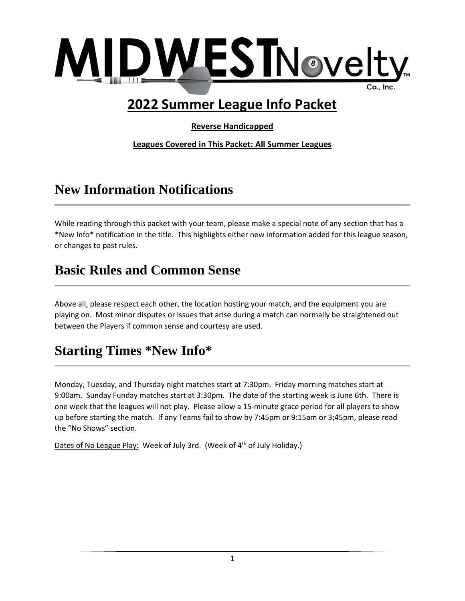

# **2022 Summer League Info Packet**

**Reverse Handicapped**

**Leagues Covered in This Packet: All Summer Leagues**

### **New Information Notifications**

While reading through this packet with your team, please make a special note of any section that has a \*New Info\* notification in the title. This highlights either new information added for this league season, or changes to past rules.

#### **Basic Rules and Common Sense**

Above all, please respect each other, the location hosting your match, and the equipment you are playing on. Most minor disputes or issues that arise during a match can normally be straightened out between the Players if common sense and courtesy are used.

### **Starting Times \*New Info\***

Monday, Tuesday, and Thursday night matches start at 7:30pm. Friday morning matches start at 9:00am. Sunday Funday matches start at 3:30pm. The date of the starting week is June 6th. There is one week that the leagues will not play. Please allow a 15-minute grace period for all players to show up before starting the match. If any Teams fail to show by 7:45pm or 9:15am or 3;45pm, please read the "No Shows" section.

Dates of No League Play: Week of July 3rd. (Week of 4<sup>th</sup> of July Holiday.)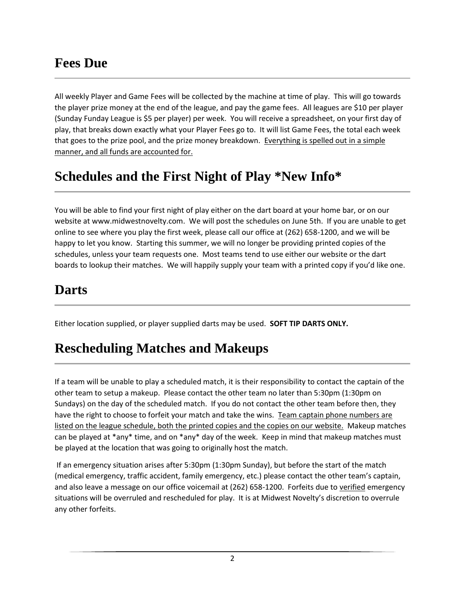#### **Fees Due**

All weekly Player and Game Fees will be collected by the machine at time of play. This will go towards the player prize money at the end of the league, and pay the game fees. All leagues are \$10 per player (Sunday Funday League is \$5 per player) per week. You will receive a spreadsheet, on your first day of play, that breaks down exactly what your Player Fees go to. It will list Game Fees, the total each week that goes to the prize pool, and the prize money breakdown. Everything is spelled out in a simple manner, and all funds are accounted for.

### **Schedules and the First Night of Play \*New Info\***

You will be able to find your first night of play either on the dart board at your home bar, or on our website at www.midwestnovelty.com. We will post the schedules on June 5th. If you are unable to get online to see where you play the first week, please call our office at (262) 658-1200, and we will be happy to let you know. Starting this summer, we will no longer be providing printed copies of the schedules, unless your team requests one. Most teams tend to use either our website or the dart boards to lookup their matches. We will happily supply your team with a printed copy if you'd like one.

#### **Darts**

Either location supplied, or player supplied darts may be used. **SOFT TIP DARTS ONLY.**

### **Rescheduling Matches and Makeups**

If a team will be unable to play a scheduled match, it is their responsibility to contact the captain of the other team to setup a makeup. Please contact the other team no later than 5:30pm (1:30pm on Sundays) on the day of the scheduled match. If you do not contact the other team before then, they have the right to choose to forfeit your match and take the wins. Team captain phone numbers are listed on the league schedule, both the printed copies and the copies on our website. Makeup matches can be played at \*any\* time, and on \*any\* day of the week. Keep in mind that makeup matches must be played at the location that was going to originally host the match.

If an emergency situation arises after 5:30pm (1:30pm Sunday), but before the start of the match (medical emergency, traffic accident, family emergency, etc.) please contact the other team's captain, and also leave a message on our office voicemail at (262) 658-1200. Forfeits due to verified emergency situations will be overruled and rescheduled for play. It is at Midwest Novelty's discretion to overrule any other forfeits.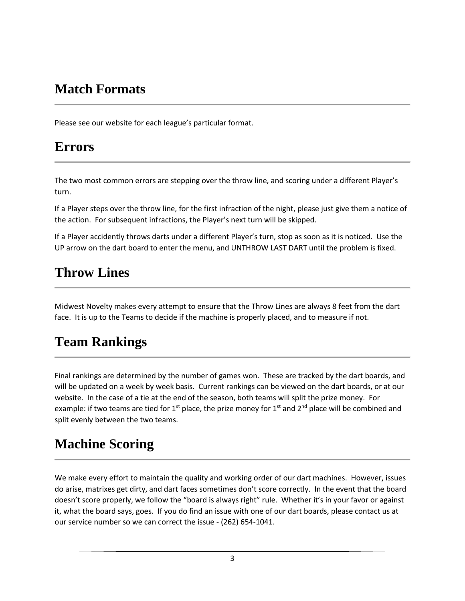### **Match Formats**

Please see our website for each league's particular format.

### **Errors**

The two most common errors are stepping over the throw line, and scoring under a different Player's turn.

If a Player steps over the throw line, for the first infraction of the night, please just give them a notice of the action. For subsequent infractions, the Player's next turn will be skipped.

If a Player accidently throws darts under a different Player's turn, stop as soon as it is noticed. Use the UP arrow on the dart board to enter the menu, and UNTHROW LAST DART until the problem is fixed.

## **Throw Lines**

Midwest Novelty makes every attempt to ensure that the Throw Lines are always 8 feet from the dart face. It is up to the Teams to decide if the machine is properly placed, and to measure if not.

## **Team Rankings**

Final rankings are determined by the number of games won. These are tracked by the dart boards, and will be updated on a week by week basis. Current rankings can be viewed on the dart boards, or at our website. In the case of a tie at the end of the season, both teams will split the prize money. For example: if two teams are tied for 1<sup>st</sup> place, the prize money for 1<sup>st</sup> and 2<sup>nd</sup> place will be combined and split evenly between the two teams.

## **Machine Scoring**

We make every effort to maintain the quality and working order of our dart machines. However, issues do arise, matrixes get dirty, and dart faces sometimes don't score correctly. In the event that the board doesn't score properly, we follow the "board is always right" rule. Whether it's in your favor or against it, what the board says, goes. If you do find an issue with one of our dart boards, please contact us at our service number so we can correct the issue - (262) 654-1041.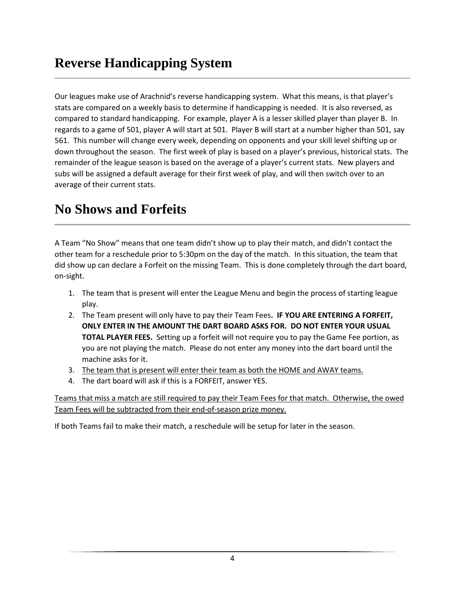Our leagues make use of Arachnid's reverse handicapping system. What this means, is that player's stats are compared on a weekly basis to determine if handicapping is needed. It is also reversed, as compared to standard handicapping. For example, player A is a lesser skilled player than player B. In regards to a game of 501, player A will start at 501. Player B will start at a number higher than 501, say 561. This number will change every week, depending on opponents and your skill level shifting up or down throughout the season. The first week of play is based on a player's previous, historical stats. The remainder of the league season is based on the average of a player's current stats. New players and subs will be assigned a default average for their first week of play, and will then switch over to an average of their current stats.

# **No Shows and Forfeits**

A Team "No Show" means that one team didn't show up to play their match, and didn't contact the other team for a reschedule prior to 5:30pm on the day of the match. In this situation, the team that did show up can declare a Forfeit on the missing Team. This is done completely through the dart board, on-sight.

- 1. The team that is present will enter the League Menu and begin the process of starting league play.
- 2. The Team present will only have to pay their Team Fees**. IF YOU ARE ENTERING A FORFEIT, ONLY ENTER IN THE AMOUNT THE DART BOARD ASKS FOR. DO NOT ENTER YOUR USUAL TOTAL PLAYER FEES.** Setting up a forfeit will not require you to pay the Game Fee portion, as you are not playing the match. Please do not enter any money into the dart board until the machine asks for it.
- 3. The team that is present will enter their team as both the HOME and AWAY teams.
- 4. The dart board will ask if this is a FORFEIT, answer YES.

Teams that miss a match are still required to pay their Team Fees for that match. Otherwise, the owed Team Fees will be subtracted from their end-of-season prize money.

If both Teams fail to make their match, a reschedule will be setup for later in the season.